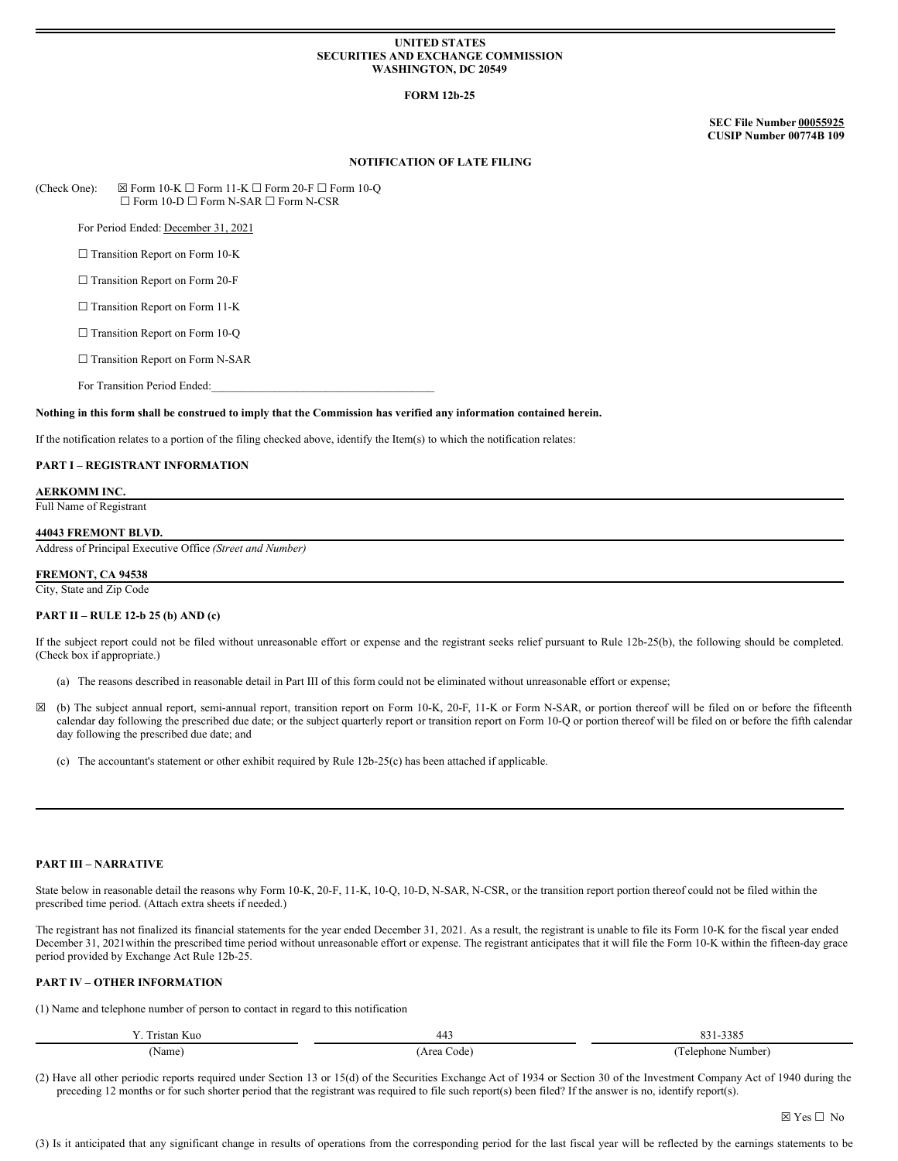### **UNITED STATES SECURITIES AND EXCHANGE COMMISSION WASHINGTON, DC 20549**

## **FORM 12b-25**

**SEC File Number 00055925 CUSIP Number 00774B 109**

### **NOTIFICATION OF LATE FILING**

(Check One):  $\boxtimes$  Form 10-K  $\Box$  Form 11-K  $\Box$  Form 20-F  $\Box$  Form 10-Q ☐ Form 10-D ☐ Form N-SAR ☐ Form N-CSR

For Period Ended: December 31, 2021

□ Transition Report on Form 10-K

□ Transition Report on Form 20-F

□ Transition Report on Form 11-K

□ Transition Report on Form 10-Q

□ Transition Report on Form N-SAR

For Transition Period Ended:

Nothing in this form shall be construed to imply that the Commission has verified any information contained herein.

If the notification relates to a portion of the filing checked above, identify the Item(s) to which the notification relates:

# **PART I – REGISTRANT INFORMATION**

# **AERKOMM INC.**

Full Name of Registrant

# **44043 FREMONT BLVD.**

Address of Principal Executive Office *(Street and Number)*

### **FREMONT, CA 94538**

City, State and Zip Code

#### **PART II – RULE 12-b 25 (b) AND (c)**

If the subject report could not be filed without unreasonable effort or expense and the registrant seeks relief pursuant to Rule 12b-25(b), the following should be completed. (Check box if appropriate.)

- (a) The reasons described in reasonable detail in Part III of this form could not be eliminated without unreasonable effort or expense;
- ☒ (b) The subject annual report, semi-annual report, transition report on Form 10-K, 20-F, 11-K or Form N-SAR, or portion thereof will be filed on or before the fifteenth calendar day following the prescribed due date; or the subject quarterly report or transition report on Form 10-Q or portion thereof will be filed on or before the fifth calendar day following the prescribed due date; and
	- (c) The accountant's statement or other exhibit required by Rule 12b-25(c) has been attached if applicable.

## **PART III – NARRATIVE**

State below in reasonable detail the reasons why Form 10-K, 20-F, 11-K, 10-Q, 10-D, N-SAR, N-CSR, or the transition report portion thereof could not be filed within the prescribed time period. (Attach extra sheets if needed.)

The registrant has not finalized its financial statements for the year ended December 31, 2021. As a result, the registrant is unable to file its Form 10-K for the fiscal year ended December 31, 2021within the prescribed time period without unreasonable effort or expense. The registrant anticipates that it will file the Form 10-K within the fifteen-day grace period provided by Exchange Act Rule 12b-25.

### **PART IV – OTHER INFORMATION**

(1) Name and telephone number of person to contact in regard to this notification

| . .<br>Tristan Kuo | 443                | 2200<br>$\Omega$<br>-9903<br>$0.31 -$ |
|--------------------|--------------------|---------------------------------------|
| Name)              | Area<br>code)<br>. | l'elephone Number<br>.                |

(2) Have all other periodic reports required under Section 13 or 15(d) of the Securities Exchange Act of 1934 or Section 30 of the Investment Company Act of 1940 during the preceding 12 months or for such shorter period that the registrant was required to file such report(s) been filed? If the answer is no, identify report(s).

(3) Is it anticipated that any significant change in results of operations from the corresponding period for the last fiscal year will be reflected by the earnings statements to be